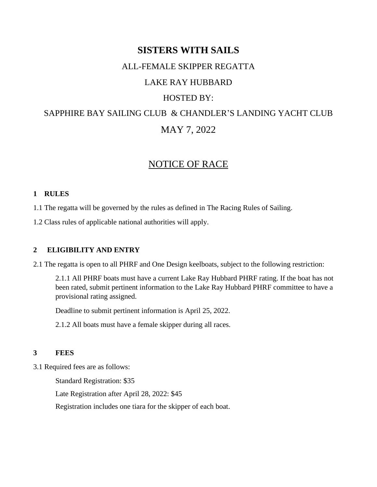# **SISTERS WITH SAILS**

#### ALL-FEMALE SKIPPER REGATTA

# LAKE RAY HUBBARD

## HOSTED BY:

# SAPPHIRE BAY SAILING CLUB & CHANDLER'S LANDING YACHT CLUB MAY 7, 2022

# NOTICE OF RACE

#### **1 RULES**

1.1 The regatta will be governed by the rules as defined in The Racing Rules of Sailing.

1.2 Class rules of applicable national authorities will apply.

#### **2 ELIGIBILITY AND ENTRY**

2.1 The regatta is open to all PHRF and One Design keelboats, subject to the following restriction:

2.1.1 All PHRF boats must have a current Lake Ray Hubbard PHRF rating. If the boat has not been rated, submit pertinent information to the Lake Ray Hubbard PHRF committee to have a provisional rating assigned.

Deadline to submit pertinent information is April 25, 2022.

2.1.2 All boats must have a female skipper during all races.

#### **3 FEES**

3.1 Required fees are as follows:

Standard Registration: \$35

Late Registration after April 28, 2022: \$45

Registration includes one tiara for the skipper of each boat.